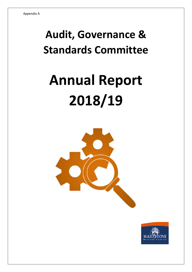# **Audit, Governance & Standards Committee**

# **Annual Report 2018/19**



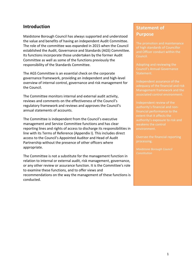#### **Introduction**

Maidstone Borough Council has always supported and understood the value and benefits of having an independent Audit Committee. The role of the committee was expanded in 2015 when the Council established the Audit, Governance and Standards (AGS) Committee. Its functions incorporate those undertaken by the former Audit Committee as well as some of the functions previously the responsibility of the Standards Committee.

The AGS Committee is an essential check on the corporate governance framework, providing an independent and high-level overview of internal control, governance and risk management for the Council.

The Committee monitors internal and external audit activity, reviews and comments on the effectiveness of the Council's regulatory framework and reviews and approves the Council's annual statements of accounts.

The Committee is independent from the Council's executive management and Service Committee functions and has clear reporting lines and rights of access to discharge its responsibilities in line with its Terms of Reference (Appendix I). This includes direct access to the Council's Appointed Auditor and Head of Audit Partnership without the presence of other officers where appropriate.

The Committee is not a substitute for the management function in relation to internal or external audit, risk management, governance, or any other review or assurance function. It is the Committee's role to examine these functions, and to offer views and recommendations on the way the management of these functions is conducted.

# **Statement of Purpose**

and Officer conduct within the Council.

Adopting and reviewing the Statement.

Independent assurance of the Management framework and the associated control environment.

Independent review of the extent that it affects the authority's exposure to risk and weakens the control environment.

*Constitution*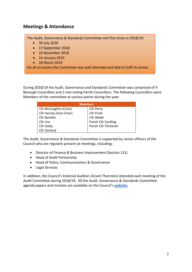## **Meetings & Attendance**

The Audit, Governance & Standards Committee met five times in 2018/19:

- 30 July 2018
- 17 September 2018
- 19 November 2018
- 14 January 2019
- 18 March 2019

On all occasions the Committee was well attended and able to fulfil its duties.

During 2018/19 the Audit, Governance and Standards Committee was comprised of 9 Borough Councillors and 2 non-voting Parish Councillors. The following Councillors were Members of the committee at various points during the year:

| <b>Members</b>           |                             |
|--------------------------|-----------------------------|
| Cllr McLoughlin (Chair)  | <b>Cllr Perry</b>           |
| Cllr Harvey (Vice-Chair) | Cllr Purle                  |
| <b>Cllr Bartlett</b>     | Cllr Webb                   |
| Cllr Cox                 | <b>Parish Cllr Coulling</b> |
| <b>Cllr Daley</b>        | Parish Cllr Titchener       |
| Cllr Garland             |                             |

The Audit, Governance & Standards Committee is supported by senior officers of the Council who are regularly present at meetings, including:

- Director of Finance & Business Improvement (Section 151)
- Head of Audit Partnership
- Head of Policy, Communications & Governance
- Legal Services

In addition, the Council's External Auditors (Grant Thornton) attended each meeting of the Audit Committee during 2018/19. All the Audit, Governance & Standards Committee agenda papers and minutes are available on the Council's **[website.](https://meetings.maidstone.gov.uk/ieListMeetings.aspx?CId=585&Year=0)**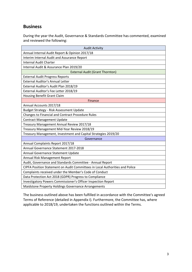### **Business**

During the year the Audit, Governance & Standards Committee has commented, examined and reviewed the following:

| <b>Audit Activity</b>                                                        |  |
|------------------------------------------------------------------------------|--|
| Annual Internal Audit Report & Opinion 2017/18                               |  |
| Interim Internal Audit and Assurance Report                                  |  |
| <b>Internal Audit Charter</b>                                                |  |
| Internal Audit & Assurance Plan 2019/20                                      |  |
| <b>External Audit (Grant Thornton)</b>                                       |  |
| <b>External Audit Progress Reports</b>                                       |  |
| <b>External Auditor's Annual Letter</b>                                      |  |
| External Auditor's Audit Plan 2018/19                                        |  |
| External Auditor's Fee Letter 2018/19                                        |  |
| Housing Benefit Grant Claim                                                  |  |
| <b>Finance</b>                                                               |  |
| Annual Accounts 2017/18                                                      |  |
| Budget Strategy - Risk Assessment Update                                     |  |
| <b>Changes to Financial and Contract Procedure Rules</b>                     |  |
| <b>Contract Management Update</b>                                            |  |
| Treasury Management Annual Review 2017/18                                    |  |
| Treasury Management Mid-Year Review 2018/19                                  |  |
| Treasury Management, Investment and Capital Strategies 2019/20               |  |
| Governance                                                                   |  |
| Annual Complaints Report 2017/18                                             |  |
| Annual Governance Statement 2017-2018                                        |  |
| Annual Governance Statement Update                                           |  |
| Annual Risk Management Report                                                |  |
| Audit, Governance and Standards Committee - Annual Report                    |  |
| CIPFA Position Statement on Audit Committees in Local Authorities and Police |  |
| Complaints received under the Member's Code of Conduct                       |  |
| Data Protection Act 2018 (GDPR) Progress to Compliance                       |  |
| Investigatory Powers Commissioner's Officer Inspection Report                |  |
| Maidstone Property Holdings Governance Arrangements                          |  |

The business outlined above has been fulfilled in accordance with the Committee's agreed Terms of Reference (detailed in Appendix I). Furthermore, the Committee has, where applicable to 2018/19, undertaken the functions outlined within the Terms.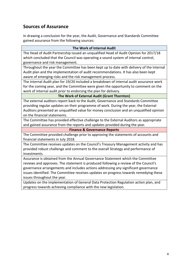# **Sources of Assurance**

In drawing a conclusion for the year, the Audit, Governance and Standards Committee gained assurance from the following sources:

#### **The Work of Internal Audit**

The Head of Audit Partnership issued an unqualified Head of Audit Opinion for 2017/18 which concluded that the Council was operating a sound system of internal control, governance and risk management.

Throughout the year the Committee has been kept up to date with delivery of the Internal Audit plan and the implementation of audit recommendations. It has also been kept aware of emerging risks and the risk management process.

The Internal Audit plan for 19/20 included a breakdown of internal audit assurance work for the coming year, and the Committee were given the opportunity to comment on the work of internal audit prior to endorsing the plan for delivery.

#### **The Work of External Audit (Grant Thornton)**

The external auditors report back to the Audit, Governance and Standards Committee providing regular updates on their programme of work. During the year, the External Auditors presented an unqualified value for money conclusion and an unqualified opinion on the financial statements.

The Committee has provided effective challenge to the External Auditors as appropriate and gained assurance from the reports and updates provided during the year.

#### **Finance & Governance Reports**

The Committee provided challenge prior to approving the statements of accounts and financial statements in July 2018.

The Committee receives updates on the Council's Treasury Management activity and has provided robust challenge and comment to the overall Strategy and performance of investments.

Assurance is obtained from the Annual Governance Statement which the Committee reviews and approves. The statement is produced following a review of the Council's governance arrangements and includes actions addressing any significant governance issues identified. The Committee receives updates on progress towards remedying these issues throughout the year.

Updates on the implementation of General Data Protection Regulation action plan, and progress towards achieving compliance with the new legislation.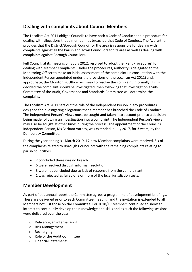# **Dealing with complaints about Council Members**

The Localism Act 2011 obliges Councils to have both a Code of Conduct and a procedure for dealing with allegations that a member has breached that Code of Conduct. The Act further provides that the District/Borough Council for the area is responsible for dealing with complaints against all the Parish and Town Councillors for its area as well as dealing with complaints against Borough Councillors.

Full Council, at its meeting on 5 July 2012, resolved to adopt the 'Kent Procedures' for dealing with Member Complaints. Under the procedures, authority is delegated to the Monitoring Officer to make an initial assessment of the complaint (in consultation with the Independent Person appointed under the provisions of the Localism Act 2011) and, if appropriate, the Monitoring Officer will seek to resolve the complaint informally. If it is decided the complaint should be investigated, then following that investigation a Sub-Committee of the Audit, Governance and Standards Committee will determine the complaint.

The Localism Act 2011 sets out the role of the Independent Person in any procedures designed for investigating allegations that a member has breached the Code of Conduct. The Independent Person's views must be sought and taken into account prior to a decision being made following an investigation into a complaint. The Independent Person's views may also be sought at other times during the process. The appointment of the Council's Independent Person, Ms Barbara Varney, was extended in July 2017, for 3 years, by the Democracy Committee.

During the year ending 31 March 2019, 17 new Member complaints were received. Six of the complaints related to Borough Councillors with the remaining complaints relating to parish councillors.

- 7 concluded there was no breach.
- 6 were resolved through informal resolution.
- 3 were not concluded due to lack of response from the complainant.
- 1 was rejected as failed one or more of the legal jurisdiction tests.

#### **Member Development**

As part of this annual report the Committee agrees a programme of development briefings. These are delivered prior to each Committee meeting, and the invitation is extended to all Members not just those on the Committee. For 2018/19 Members continued to show an interest to continually develop their knowledge and skills and as such the following sessions were delivered over the year:

- o Delivering an internal audit
- o Risk Management
- o Recharging
- o Role of the Audit Committee
- o Financial Statements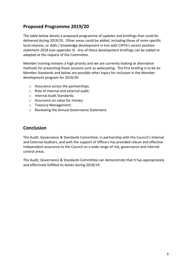# **Proposed Programme 2019/20**

The table below details a proposed programme of updates and briefings that could be delivered during 2019/20. Other areas could be added, including those of more specific local interest, or skills / knowledge development in line with CIPFA's recent position statement 2018 (see appendix II). Any of these development briefings can be added or adapted at the request of the Committee.

Member training remains a high priority and we are currently looking at alternative methods for presenting these sessions such as webcasting. The first briefing is to be on Member Standards and below are possible other topics for inclusion in the Member development program for 2019/20:

- o Assurance across the partnerships;
- o Role of internal and external audit;
- o Internal Audit Standards;
- o Assurance on value for money;
- o Treasury Management;
- o Reviewing the Annual Governance Statement.

#### **Conclusion**

The Audit, Governance & Standards Committee, in partnership with the Council's Internal and External Auditors, and with the support of Officers has provided robust and effective independent assurance to the Council on a wide range of risk, governance and internal control areas.

The Audit, Governance & Standards Committee can demonstrate that it has appropriately and effectively fulfilled its duties during 2018/19.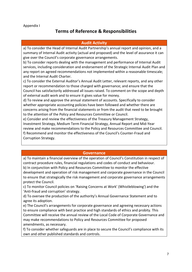#### Appendix I

# **Terms of Reference & Responsibilities**

#### **Audit Activity**

a) To consider the Head of Internal Audit Partnership's annual report and opinion, and a summary of Internal Audit activity (actual and proposed) and the level of assurance it can give over the Council's corporate governance arrangements.

b) To consider reports dealing with the management and performance of Internal Audit services, including consideration and endorsement of the Strategic Internal Audit Plan and any report on agreed recommendations not implemented within a reasonable timescale; and the Internal Audit Charter.

c) To consider the External Auditor's Annual Audit Letter, relevant reports, and any other report or recommendation to those charged with governance; and ensure that the Council has satisfactorily addressed all issues raised. To comment on the scope and depth of external audit work and to ensure it gives value for money.

d) To review and approve the annual statement of accounts. Specifically to consider whether appropriate accounting policies have been followed and whether there are concerns arising from the financial statements or from the audit that need to be brought to the attention of the Policy and Resources Committee or Council.

e) Consider and review the effectiveness of the Treasury Management Strategy, Investment Strategy, Medium Term Financial Strategy, Annual Report and Mid-Year review and make recommendations to the Policy and Resources Committee and Council. f) Recommend and monitor the effectiveness of the Council's Counter-Fraud and Corruption Strategy.

#### **Governance**

a) To maintain a financial overview of the operation of Council's Constitution in respect of contract procedure rules, financial regulations and codes of conduct and behaviour. b) In conjunction with Policy and Resources Committee to monitor the effective development and operation of risk management and corporate governance in the Council to ensure that strategically the risk management and corporate governance arrangements protect the Council.

c) To monitor Council policies on 'Raising Concerns at Work' (Whistleblowing') and the 'Anti-fraud and corruption' strategy.

d) To oversee the production of the authority's Annual Governance Statement and to agree its adoption.

e) The Council's arrangements for corporate governance and agreeing necessary actions to ensure compliance with best practice and high standards of ethics and probity. This Committee will receive the annual review of the Local Code of Corporate Governance and may make recommendations to Policy and Resources Committee for proposed amendments, as necessary.

f) To consider whether safeguards are in place to secure the Council's compliance with its own and other published standards and controls.